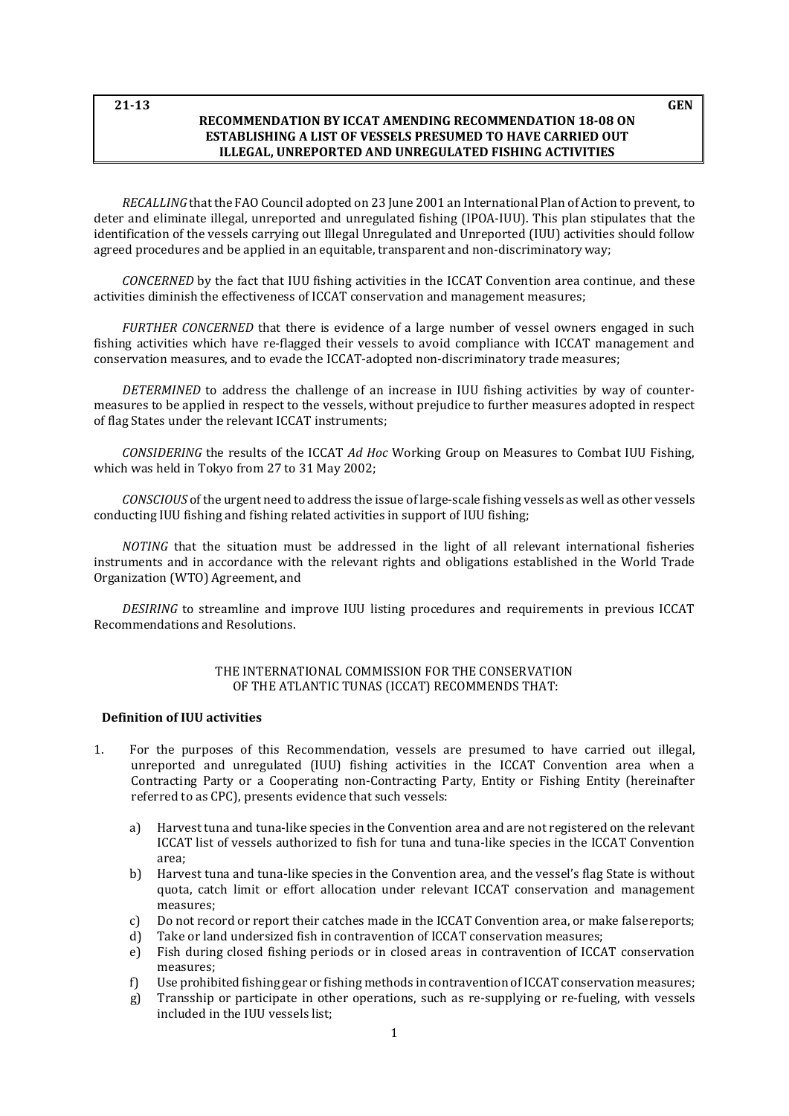#### **21-13 GEN RECOMMENDATION BY ICCAT AMENDING RECOMMENDATION 18-08 ON ESTABLISHING A LIST OF VESSELS PRESUMED TO HAVE CARRIED OUT ILLEGAL, UNREPORTED AND UNREGULATED FISHING ACTIVITIES**

*RECALLING* that the FAO Council adopted on 23 June 2001 an International Plan of Action to prevent, to deter and eliminate illegal, unreported and unregulated fishing (IPOA-IUU). This plan stipulates that the identification of the vessels carrying out Illegal Unregulated and Unreported (IUU) activities should follow agreed procedures and be applied in an equitable, transparent and non-discriminatoryway;

*CONCERNED* by the fact that IUU fishing activities in the ICCAT Convention area continue, and these activities diminish the effectiveness of ICCAT conservation and management measures;

*FURTHER CONCERNED* that there is evidence of a large number of vessel owners engaged in such fishing activities which have re-flagged their vessels to avoid compliance with ICCAT management and conservation measures, and to evade the ICCAT-adopted non-discriminatory trade measures;

*DETERMINED* to address the challenge of an increase in IUU fishing activities by way of countermeasures to be applied in respect to the vessels, without prejudice to further measures adopted in respect of flag States under the relevant ICCAT instruments;

*CONSIDERING* the results of the ICCAT *Ad Hoc* Working Group on Measures to Combat IUU Fishing, which was held in Tokyo from 27 to 31 May 2002;

*CONSCIOUS* of the urgent need to address the issue of large-scale fishing vessels as well as other vessels conducting IUU fishing and fishing related activities in support of IUU fishing;

*NOTING* that the situation must be addressed in the light of all relevant international fisheries instruments and in accordance with the relevant rights and obligations established in the World Trade Organization (WTO) Agreement, and

*DESIRING* to streamline and improve IUU listing procedures and requirements in previous ICCAT Recommendations and Resolutions.

#### THE INTERNATIONAL COMMISSION FOR THE CONSERVATION OF THE ATLANTIC TUNAS (ICCAT) RECOMMENDS THAT:

#### **Definition of IUU activities**

- 1. For the purposes of this Recommendation, vessels are presumed to have carried out illegal, unreported and unregulated (IUU) fishing activities in the ICCAT Convention area when a Contracting Party or a Cooperating non-Contracting Party, Entity or Fishing Entity (hereinafter referred to as CPC), presents evidence that such vessels:
	- a) Harvest tuna and tuna-like species in the Convention area and are not registered on the relevant ICCAT list of vessels authorized to fish for tuna and tuna-like species in the ICCAT Convention area;
	- b) Harvest tuna and tuna-like species in the Convention area, and the vessel's flag State is without quota, catch limit or effort allocation under relevant ICCAT conservation and management measures;
	- c) Do not record or report their catches made in the ICCAT Convention area, or make falsereports;
	- d) Take or land undersized fish in contravention of ICCAT conservation measures;
	- e) Fish during closed fishing periods or in closed areas in contravention of ICCAT conservation measures;
	- f) Use prohibited fishing gear or fishing methods in contravention of ICCAT conservation measures;<br>g) Transship or participate in other operations, such as re-supplying or re-fueling, with vessels
	- g) Transship or participate in other operations, such as re-supplying or re-fueling, with vessels included in the IUU vessels list;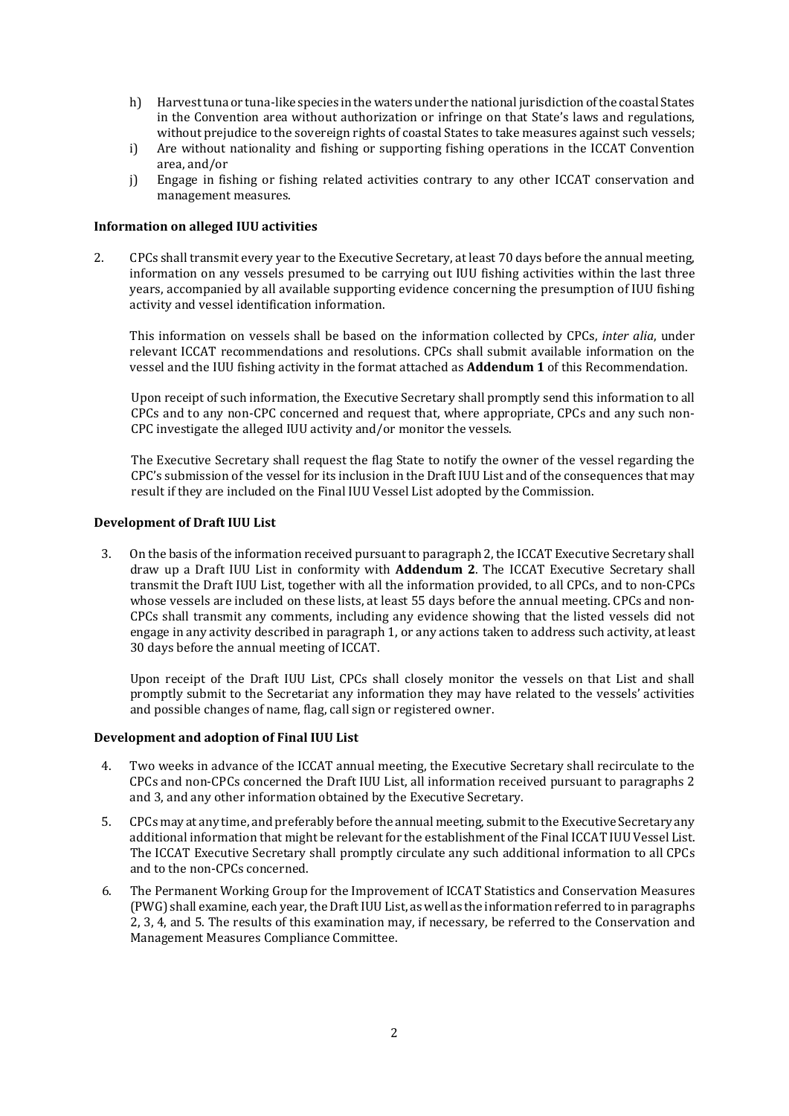- h) Harvesttuna or tuna-like species in thewaters under the national jurisdiction ofthe coastal States in the Convention area without authorization or infringe on that State's laws and regulations, without prejudice to the sovereign rights of coastal States to take measures against such vessels;
- i) Are without nationality and fishing or supporting fishing operations in the ICCAT Convention area, and/or
- j) Engage in fishing or fishing related activities contrary to any other ICCAT conservation and management measures.

#### **Information on alleged IUU activities**

2. CPCs shall transmit every year to the Executive Secretary, at least 70 days before the annual meeting, information on any vessels presumed to be carrying out IUU fishing activities within the last three years, accompanied by all available supporting evidence concerning the presumption of IUU fishing activity and vessel identification information.

This information on vessels shall be based on the information collected by CPCs, *inter alia*, under relevant ICCAT recommendations and resolutions. CPCs shall submit available information on the vessel and the IUU fishing activity in the format attached as **Addendum 1** of this Recommendation.

Upon receipt of such information, the Executive Secretary shall promptly send this information to all CPCs and to any non-CPC concerned and request that, where appropriate, CPCs and any such non-CPC investigate the alleged IUU activity and/or monitor the vessels.

The Executive Secretary shall request the flag State to notify the owner of the vessel regarding the CPC's submission of the vessel for its inclusion in the Draft IUU List and of the consequences that may result if they are included on the Final IUU Vessel List adopted by the Commission.

#### **Development of Draft IUU List**

3. On the basis of the information received pursuant to paragraph 2, the ICCAT Executive Secretary shall draw up a Draft IUU List in conformity with **Addendum 2**. The ICCAT Executive Secretary shall transmit the Draft IUU List, together with all the information provided, to all CPCs, and to non-CPCs whose vessels are included on these lists, at least 55 days before the annual meeting. CPCs and non-CPCs shall transmit any comments, including any evidence showing that the listed vessels did not engage in any activity described in paragraph 1, or any actions taken to address such activity, at least 30 days before the annual meeting of ICCAT.

Upon receipt of the Draft IUU List, CPCs shall closely monitor the vessels on that List and shall promptly submit to the Secretariat any information they may have related to the vessels' activities and possible changes of name, flag, call sign or registered owner.

#### **Development and adoption of Final IUU List**

- 4. Two weeks in advance of the ICCAT annual meeting, the Executive Secretary shall recirculate to the CPCs and non-CPCs concerned the Draft IUU List, all information received pursuant to paragraphs 2 and 3, and any other information obtained by the Executive Secretary.
- 5. CPCs may at any time, and preferably before the annual meeting, submitto the Executive Secretary any additional information that might be relevant for the establishment of the Final ICCAT IUU Vessel List. The ICCAT Executive Secretary shall promptly circulate any such additional information to all CPCs and to the non-CPCs concerned.
- 6. The Permanent Working Group for the Improvement of ICCAT Statistics and Conservation Measures (PWG) shall examine, each year, the Draft IUU List, as well as the information referred to in paragraphs 2, 3, 4, and 5. The results of this examination may, if necessary, be referred to the Conservation and Management Measures Compliance Committee.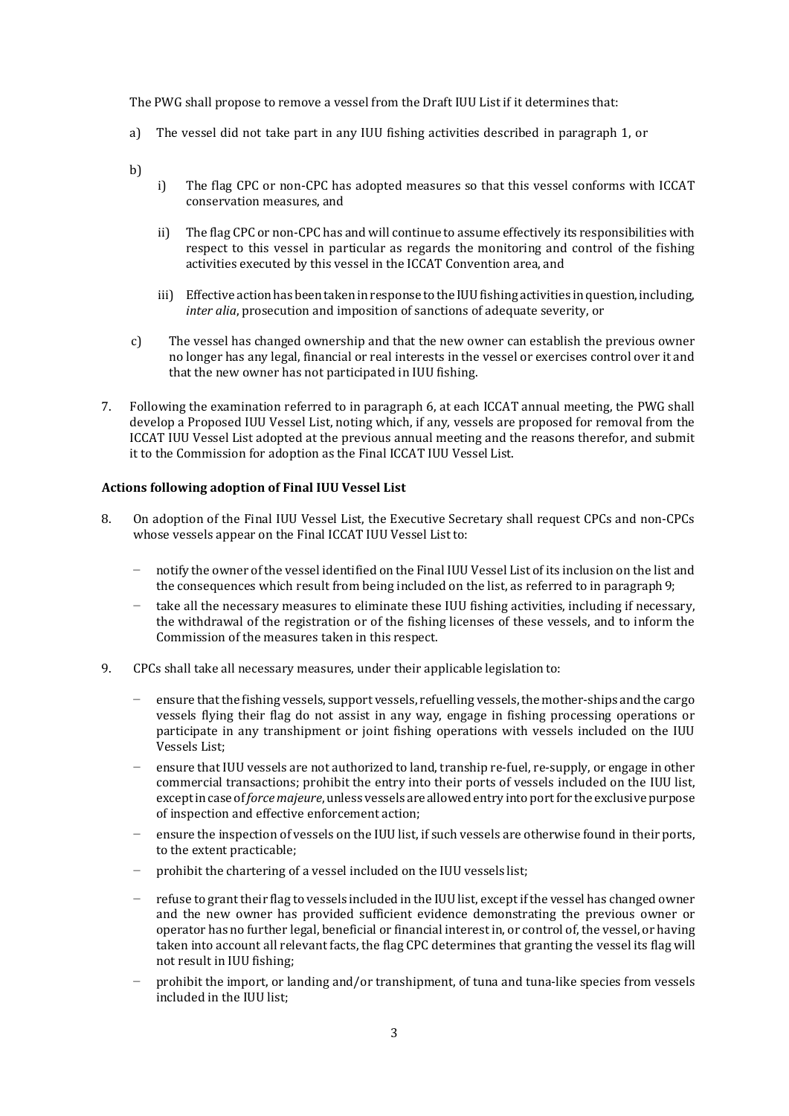The PWG shall propose to remove a vessel from the Draft IUU List if it determines that:

a) The vessel did not take part in any IUU fishing activities described in paragraph 1, or

b)

- i) The flag CPC or non-CPC has adopted measures so that this vessel conforms with ICCAT conservation measures, and
- ii) The flag CPC or non-CPC has and will continue to assume effectively its responsibilities with respect to this vessel in particular as regards the monitoring and control of the fishing activities executed by this vessel in the ICCAT Convention area, and
- iii) Effective action has been taken in response to the IUU fishing activities in question, including, *inter alia*, prosecution and imposition of sanctions of adequate severity, or
- c) The vessel has changed ownership and that the new owner can establish the previous owner no longer has any legal, financial or real interests in the vessel or exercises control over it and that the new owner has not participated in IUU fishing.
- 7. Following the examination referred to in paragraph 6, at each ICCAT annual meeting, the PWG shall develop a Proposed IUU Vessel List, noting which, if any, vessels are proposed for removal from the ICCAT IUU Vessel List adopted at the previous annual meeting and the reasons therefor, and submit it to the Commission for adoption as the Final ICCAT IUU Vessel List.

#### **Actions following adoption of Final IUU Vessel List**

- 8. On adoption of the Final IUU Vessel List, the Executive Secretary shall request CPCs and non-CPCs whose vessels appear on the Final ICCAT IUU Vessel Listto:
	- notify the owner of the vessel identified on the Final IUU Vessel List of its inclusion on the list and the consequences which result from being included on the list, as referred to in paragraph9;
	- take all the necessary measures to eliminate these IUU fishing activities, including if necessary, the withdrawal of the registration or of the fishing licenses of these vessels, and to inform the Commission of the measures taken in this respect.
- 9. CPCs shall take all necessary measures, under their applicable legislation to:
	- ensure that the fishing vessels, support vessels, refuelling vessels, the mother-ships and the cargo vessels flying their flag do not assist in any way, engage in fishing processing operations or participate in any transhipment or joint fishing operations with vessels included on the IUU Vessels List;
	- − ensure that IUU vessels are not authorized to land, tranship re-fuel, re-supply, or engage in other commercial transactions; prohibit the entry into their ports of vessels included on the IUU list, exceptincase of*forcemajeure*,unless vessels are allowedentry into portfor the exclusive purpose of inspection and effective enforcement action;
	- ensure the inspection of vessels on the IUU list, if such vessels are otherwise found in their ports, to the extent practicable;
	- prohibit the chartering of a vessel included on the IUU vessels list;
	- − refuse to grant their flag to vessels included in the IUU list, except ifthe vessel has changed owner and the new owner has provided sufficient evidence demonstrating the previous owner or operator has no further legal, beneficial or financial interest in, or control of, the vessel, or having taken into account all relevant facts, the flag CPC determines that granting the vessel its flag will not result in IUU fishing;
	- − prohibit the import, or landing and/or transhipment, of tuna and tuna-like species from vessels included in the IUU list;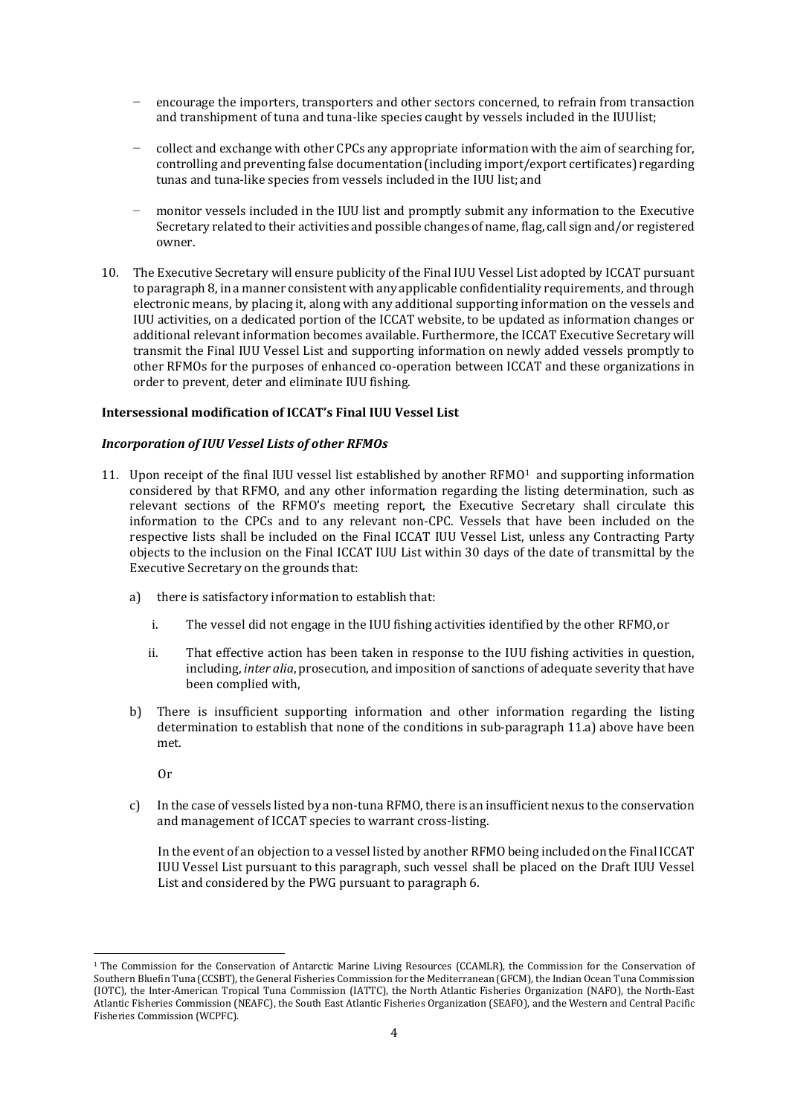- encourage the importers, transporters and other sectors concerned, to refrain from transaction and transhipment of tuna and tuna-like species caught by vessels included in the IUUlist;
- − collect and exchange with other CPCs any appropriate information with the aim of searching for, controlling and preventing false documentation (including import/export certificates) regarding tunas and tuna-like species from vessels included in the IUU list; and
- monitor vessels included in the IUU list and promptly submit any information to the Executive Secretary related to their activities and possible changes of name, flag, call sign and/or registered owner.
- 10. The Executive Secretary will ensure publicity of the Final IUU Vessel List adopted by ICCAT pursuant to paragraph 8, in a manner consistent with any applicable confidentiality requirements, and through electronic means, by placing it, along with any additional supporting information on the vessels and IUU activities, on a dedicated portion of the ICCAT website, to be updated as information changes or additional relevant information becomes available. Furthermore, the ICCAT Executive Secretary will transmit the Final IUU Vessel List and supporting information on newly added vessels promptly to other RFMOs for the purposes of enhanced co-operation between ICCAT and these organizations in order to prevent, deter and eliminate IUU fishing.

#### **Intersessional modification of ICCAT's Final IUU Vessel List**

#### *Incorporation of IUU Vessel Lists of other RFMOs*

- [1](#page-3-0)1. Upon receipt of the final IUU vessel list established by another  $RFMO<sup>1</sup>$  and supporting information considered by that RFMO, and any other information regarding the listing determination, such as relevant sections of the RFMO's meeting report, the Executive Secretary shall circulate this information to the CPCs and to any relevant non-CPC. Vessels that have been included on the respective lists shall be included on the Final ICCAT IUU Vessel List, unless any Contracting Party objects to the inclusion on the Final ICCAT IUU List within 30 days of the date of transmittal by the Executive Secretary on the grounds that:
	- a) there is satisfactory information to establish that:
		- i. The vessel did not engage in the IUU fishing activities identified by the other RFMO,or
		- ii. That effective action has been taken in response to the IUU fishing activities in question, including, *inter alia*, prosecution, and imposition of sanctions of adequate severity that have been complied with,
	- b) There is insufficient supporting information and other information regarding the listing determination to establish that none of the conditions in sub-paragraph 11.a) above have been met.
		- Or
	- c) In the case of vessels listed by a non-tuna RFMO, there is an insufficient nexus to the conservation and management of ICCAT species to warrant cross-listing.

In the event of an objection to a vessel listed by another RFMO being included on the Final ICCAT IUU Vessel List pursuant to this paragraph, such vessel shall be placed on the Draft IUU Vessel List and considered by the PWG pursuant to paragraph 6.

<span id="page-3-0"></span><sup>&</sup>lt;sup>1</sup> The Commission for the Conservation of Antarctic Marine Living Resources (CCAMLR), the Commission for the Conservation of Southern Bluefin Tuna (CCSBT), the General Fisheries Commission for the Mediterranean (GFCM), the Indian Ocean Tuna Commission (IOTC), the Inter-American Tropical Tuna Commission (IATTC), the North Atlantic Fisheries Organization (NAFO), the North-East Atlantic Fisheries Commission (NEAFC), the South East Atlantic Fisheries Organization (SEAFO), and the Western and Central Pacific Fisheries Commission (WCPFC).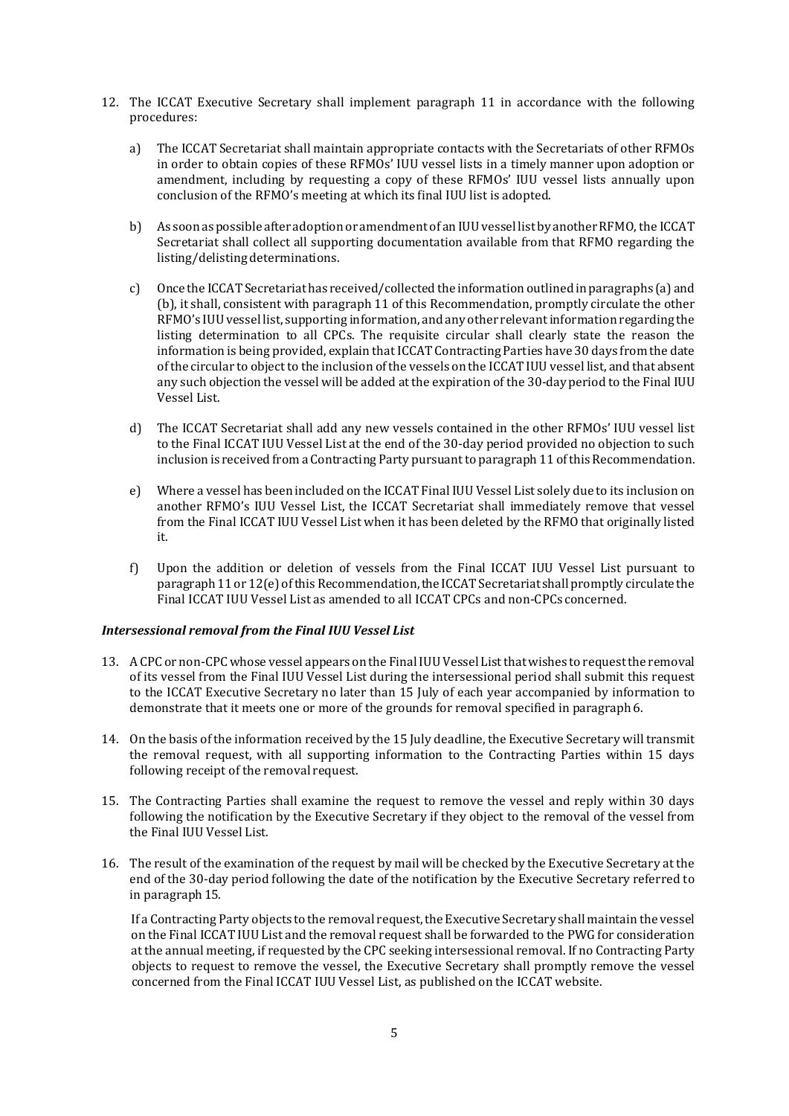- 12. The ICCAT Executive Secretary shall implement paragraph 11 in accordance with the following procedures:
	- a) The ICCAT Secretariat shall maintain appropriate contacts with the Secretariats of other RFMOs in order to obtain copies of these RFMOs' IUU vessel lists in a timely manner upon adoption or amendment, including by requesting a copy of these RFMOs' IUU vessel lists annually upon conclusion of the RFMO's meeting at which its final IUU list is adopted.
	- b) As soon as possible after adoption or amendment of an IUU vessel list by another RFMO, the ICCAT Secretariat shall collect all supporting documentation available from that RFMO regarding the listing/delisting determinations.
	- c) Once the ICCATSecretariathas received/collected the informationoutlined inparagraphs (a) and (b), it shall, consistent with paragraph 11 of this Recommendation, promptly circulate the other RFMO's IUUvessel list, supporting information, and any other relevantinformation regarding the listing determination to all CPCs. The requisite circular shall clearly state the reason the information is being provided, explain that ICCAT Contracting Parties have 30 days from the date of the circular to object to the inclusion of the vessels on the ICCAT IUU vessel list, and that absent any such objection the vessel will be added at the expiration of the 30-day period to the Final IUU Vessel List.
	- d) The ICCAT Secretariat shall add any new vessels contained in the other RFMOs' IUU vessel list to the Final ICCAT IUU Vessel List at the end of the 30-day period provided no objection to such inclusion is received from a Contracting Party pursuant to paragraph 11 of this Recommendation.
	- e) Where a vessel has been included on the ICCAT Final IUU Vessel List solely due to its inclusion on another RFMO's IUU Vessel List, the ICCAT Secretariat shall immediately remove that vessel from the Final ICCAT IUU Vessel List when it has been deleted by the RFMO that originally listed it.
	- f) Upon the addition or deletion of vessels from the Final ICCAT IUU Vessel List pursuant to paragraph 11 or 12(e) of this Recommendation, the ICCAT Secretariat shall promptly circulate the Final ICCAT IUU Vessel List as amended to all ICCAT CPCs and non-CPCs concerned.

### *Intersessional removal from the Final IUU Vessel List*

- 13. ACPC or non-CPC whose vessel appears on the FinalIUU Vessel Listthatwishes to requestthe removal of its vessel from the Final IUU Vessel List during the intersessional period shall submit this request to the ICCAT Executive Secretary no later than 15 July of each year accompanied by information to demonstrate that it meets one or more of the grounds for removal specified in paragraph6.
- 14. On the basis of the information received by the 15 July deadline, the Executive Secretary will transmit the removal request, with all supporting information to the Contracting Parties within 15 days following receipt of the removal request.
- 15. The Contracting Parties shall examine the request to remove the vessel and reply within 30 days following the notification by the Executive Secretary if they object to the removal of the vessel from the Final IUU Vessel List.
- 16. The result of the examination of the request by mail will be checked by the Executive Secretary at the end of the 30-day period following the date of the notification by the Executive Secretary referred to in paragraph 15.

If a Contracting Party objects to the removal request, the Executive Secretary shall maintain the vessel on the Final ICCAT IUU List and the removal request shall be forwarded to the PWG for consideration at the annual meeting, if requested by the CPC seeking intersessional removal. If no Contracting Party objects to request to remove the vessel, the Executive Secretary shall promptly remove the vessel concerned from the Final ICCAT IUU Vessel List, as published on the ICCAT website.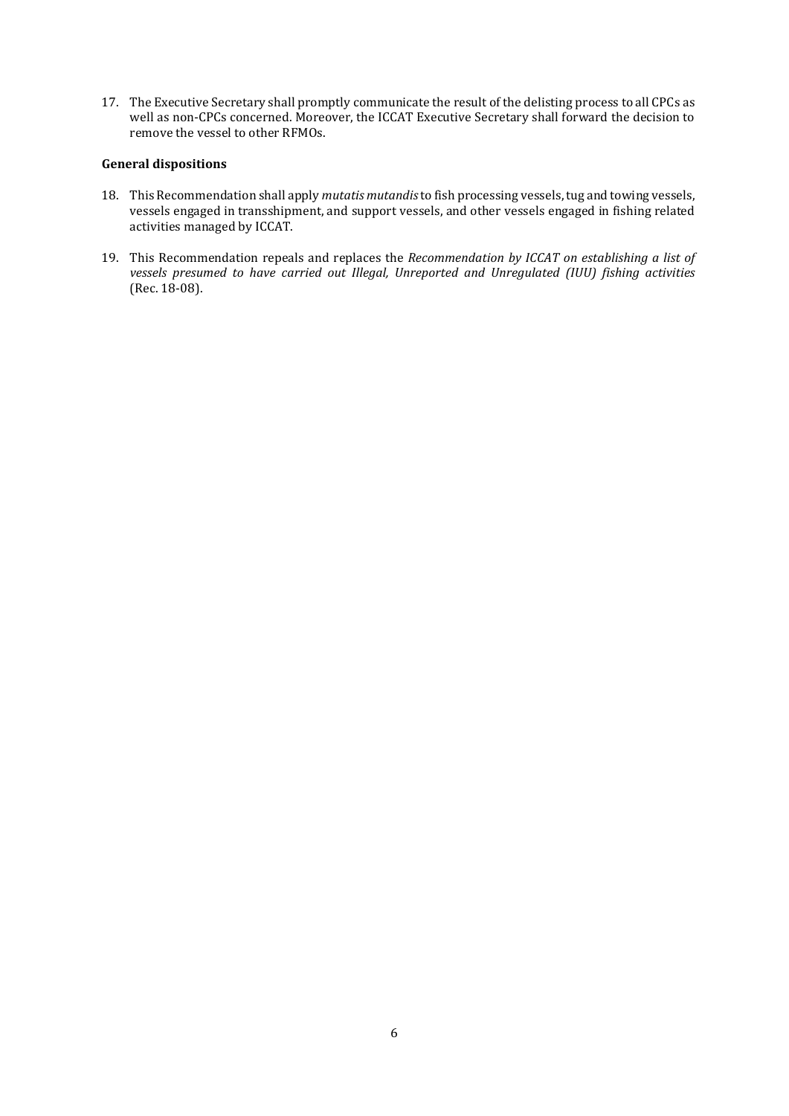17. The Executive Secretary shall promptly communicate the result of the delisting process to all CPCs as well as non-CPCs concerned. Moreover, the ICCAT Executive Secretary shall forward the decision to remove the vessel to other RFMOs.

#### **General dispositions**

- 18. This Recommendation shall apply *mutatis mutandis* to fish processing vessels, tug and towing vessels, vessels engaged in transshipment, and support vessels, and other vessels engaged in fishing related activities managed by ICCAT.
- 19. This Recommendation repeals and replaces the *Recommendation by ICCAT on establishing a list of vessels presumed to have carried out Illegal, Unreported and Unregulated (IUU) fishing activities* (Rec. 18-08).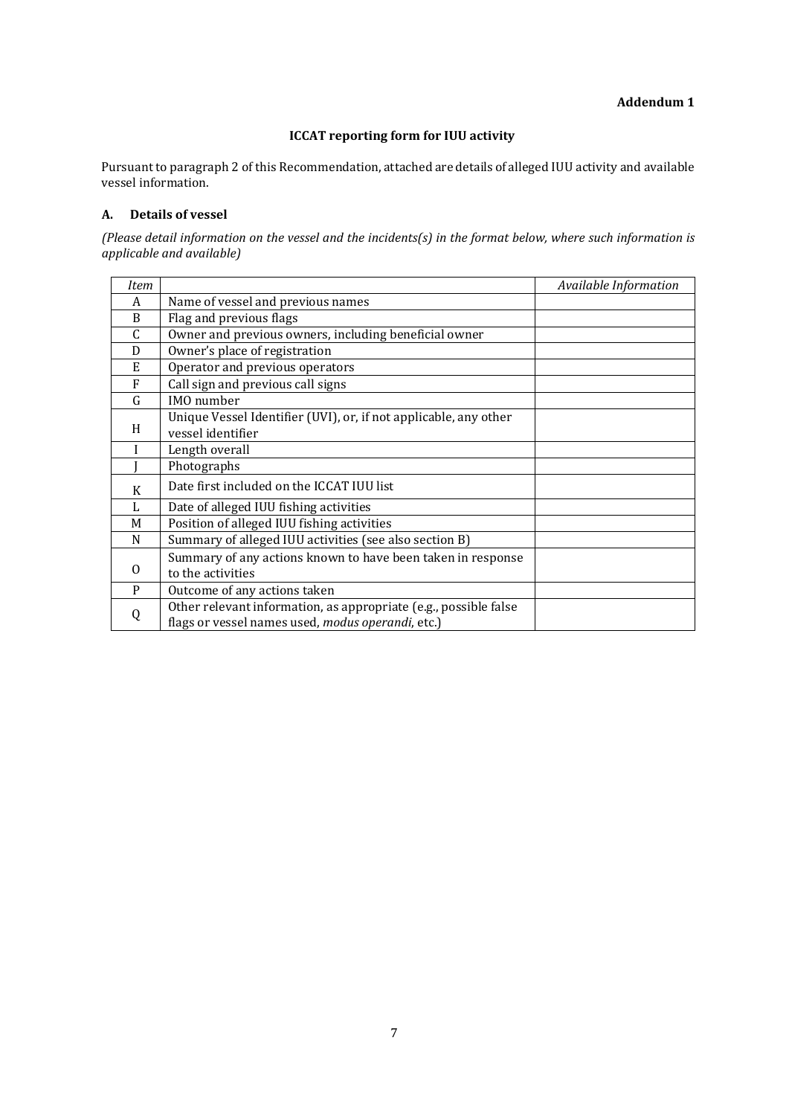## **ICCAT reporting form for IUU activity**

Pursuant to paragraph 2 of this Recommendation, attached are details of alleged IUU activity and available vessel information.

## **A. Details of vessel**

*(Please detail information on the vessel and the incidents(s) in the format below, where such information is applicable and available)*

| Item     |                                                                                                                       | Available Information |
|----------|-----------------------------------------------------------------------------------------------------------------------|-----------------------|
| A        | Name of vessel and previous names                                                                                     |                       |
| B        | Flag and previous flags                                                                                               |                       |
| C        | Owner and previous owners, including beneficial owner                                                                 |                       |
| D        | Owner's place of registration                                                                                         |                       |
| E        | Operator and previous operators                                                                                       |                       |
| F        | Call sign and previous call signs                                                                                     |                       |
| G        | IMO number                                                                                                            |                       |
| H        | Unique Vessel Identifier (UVI), or, if not applicable, any other<br>vessel identifier                                 |                       |
|          | Length overall                                                                                                        |                       |
|          | Photographs                                                                                                           |                       |
| K        | Date first included on the ICCAT IUU list                                                                             |                       |
| L        | Date of alleged IUU fishing activities                                                                                |                       |
| M        | Position of alleged IUU fishing activities                                                                            |                       |
| N        | Summary of alleged IUU activities (see also section B)                                                                |                       |
| 0        | Summary of any actions known to have been taken in response<br>to the activities                                      |                       |
| P        | Outcome of any actions taken                                                                                          |                       |
| $\Omega$ | Other relevant information, as appropriate (e.g., possible false<br>flags or vessel names used, modus operandi, etc.) |                       |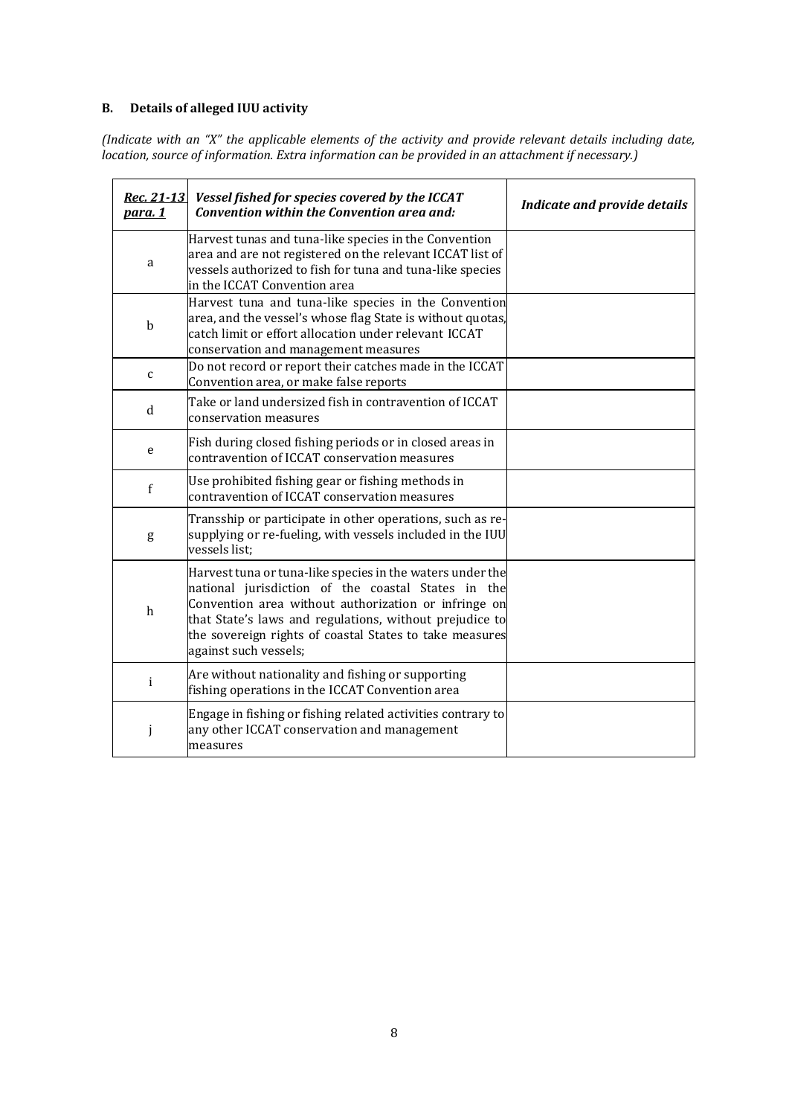# **B. Details of alleged IUU activity**

*(Indicate with an "X" the applicable elements of the activity and provide relevant details including date, location, source of information. Extra information can be provided in an attachment if necessary.)*

| Rec. 21-13<br>para. 1 | Vessel fished for species covered by the ICCAT<br>Convention within the Convention area and:                                                                                                                                                                                                                           | <b>Indicate and provide details</b> |
|-----------------------|------------------------------------------------------------------------------------------------------------------------------------------------------------------------------------------------------------------------------------------------------------------------------------------------------------------------|-------------------------------------|
| a                     | Harvest tunas and tuna-like species in the Convention<br>area and are not registered on the relevant ICCAT list of<br>vessels authorized to fish for tuna and tuna-like species<br>in the ICCAT Convention area                                                                                                        |                                     |
| $\mathbf b$           | Harvest tuna and tuna-like species in the Convention<br>area, and the vessel's whose flag State is without quotas,<br>catch limit or effort allocation under relevant ICCAT<br>conservation and management measures                                                                                                    |                                     |
| $\mathsf c$           | Do not record or report their catches made in the ICCAT<br>Convention area, or make false reports                                                                                                                                                                                                                      |                                     |
| d                     | Take or land undersized fish in contravention of ICCAT<br>conservation measures                                                                                                                                                                                                                                        |                                     |
| e                     | Fish during closed fishing periods or in closed areas in<br>contravention of ICCAT conservation measures                                                                                                                                                                                                               |                                     |
| $\mathbf f$           | Use prohibited fishing gear or fishing methods in<br>contravention of ICCAT conservation measures                                                                                                                                                                                                                      |                                     |
| g                     | Transship or participate in other operations, such as re-<br>supplying or re-fueling, with vessels included in the IUU<br>vessels list;                                                                                                                                                                                |                                     |
| h                     | Harvest tuna or tuna-like species in the waters under the<br>national jurisdiction of the coastal States in the<br>Convention area without authorization or infringe on<br>that State's laws and regulations, without prejudice to<br>the sovereign rights of coastal States to take measures<br>against such vessels; |                                     |
| i                     | Are without nationality and fishing or supporting<br>fishing operations in the ICCAT Convention area                                                                                                                                                                                                                   |                                     |
| j                     | Engage in fishing or fishing related activities contrary to<br>any other ICCAT conservation and management<br>measures                                                                                                                                                                                                 |                                     |